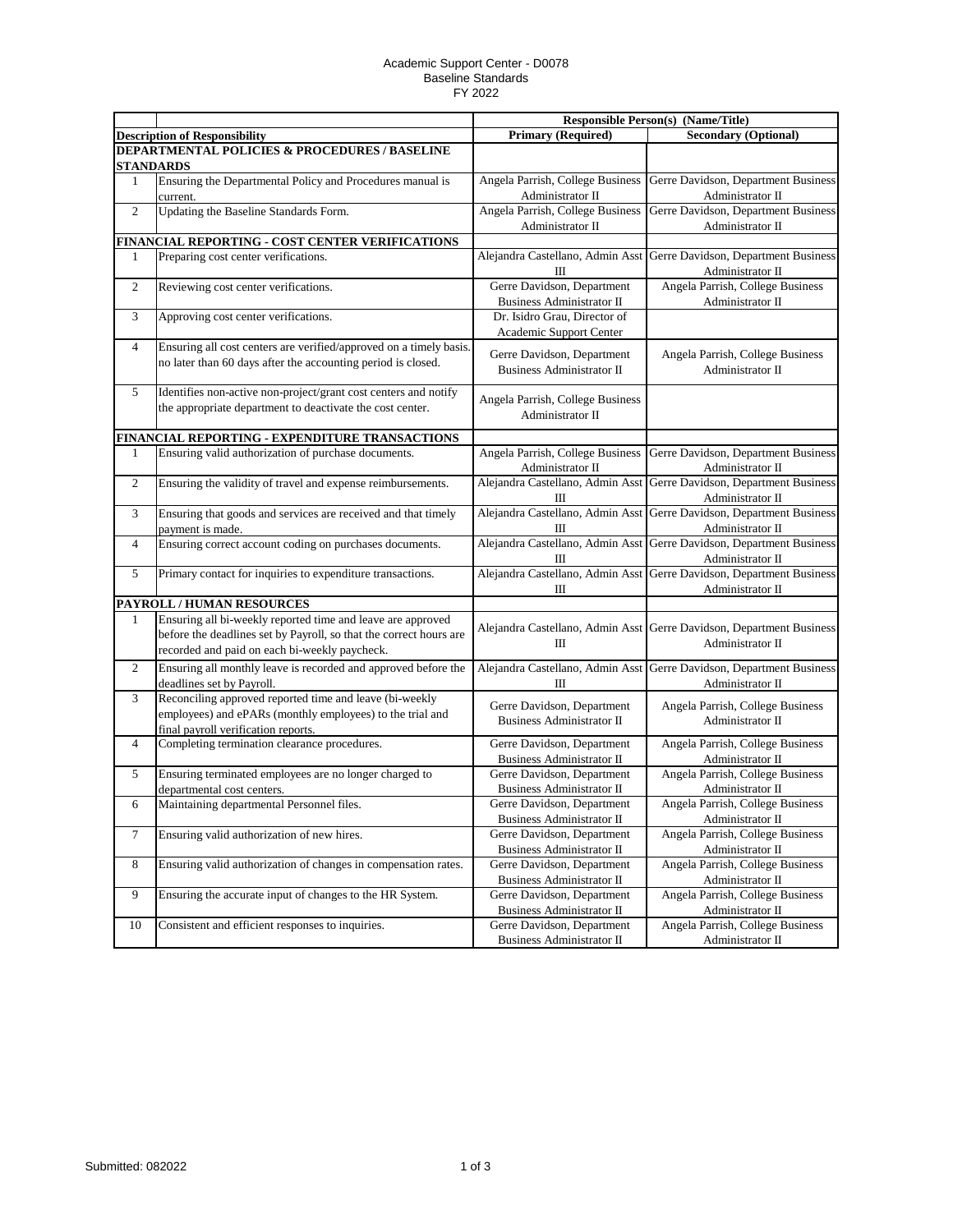## Academic Support Center - D0078 Baseline Standards FY 2022

|                                                          |                                                                    |                                                                | <b>Responsible Person(s) (Name/Title)</b>                                                |  |  |  |
|----------------------------------------------------------|--------------------------------------------------------------------|----------------------------------------------------------------|------------------------------------------------------------------------------------------|--|--|--|
|                                                          | <b>Description of Responsibility</b>                               | <b>Primary (Required)</b>                                      | <b>Secondary (Optional)</b>                                                              |  |  |  |
| <b>DEPARTMENTAL POLICIES &amp; PROCEDURES / BASELINE</b> |                                                                    |                                                                |                                                                                          |  |  |  |
|                                                          | <b>STANDARDS</b>                                                   |                                                                |                                                                                          |  |  |  |
| 1                                                        | Ensuring the Departmental Policy and Procedures manual is          | Angela Parrish, College Business                               | Gerre Davidson, Department Business                                                      |  |  |  |
|                                                          | current.                                                           | Administrator II                                               | Administrator II                                                                         |  |  |  |
| $\overline{2}$                                           | Updating the Baseline Standards Form.                              | Angela Parrish, College Business                               | Gerre Davidson, Department Business                                                      |  |  |  |
|                                                          |                                                                    | Administrator II                                               | Administrator II                                                                         |  |  |  |
|                                                          | FINANCIAL REPORTING - COST CENTER VERIFICATIONS                    |                                                                |                                                                                          |  |  |  |
| 1                                                        | Preparing cost center verifications.                               | Alejandra Castellano, Admin Asst<br>Ш                          | Gerre Davidson, Department Business<br>Administrator II                                  |  |  |  |
| $\overline{c}$                                           | Reviewing cost center verifications.                               | Gerre Davidson, Department<br><b>Business Administrator II</b> | Angela Parrish, College Business<br>Administrator II                                     |  |  |  |
| 3                                                        | Approving cost center verifications.                               | Dr. Isidro Grau, Director of<br>Academic Support Center        |                                                                                          |  |  |  |
| 4                                                        | Ensuring all cost centers are verified/approved on a timely basis. |                                                                |                                                                                          |  |  |  |
|                                                          | no later than 60 days after the accounting period is closed.       | Gerre Davidson, Department<br><b>Business Administrator II</b> | Angela Parrish, College Business<br>Administrator II                                     |  |  |  |
| 5                                                        | Identifies non-active non-project/grant cost centers and notify    |                                                                |                                                                                          |  |  |  |
|                                                          | the appropriate department to deactivate the cost center.          | Angela Parrish, College Business<br>Administrator II           |                                                                                          |  |  |  |
|                                                          | FINANCIAL REPORTING - EXPENDITURE TRANSACTIONS                     |                                                                |                                                                                          |  |  |  |
| 1                                                        | Ensuring valid authorization of purchase documents.                | Angela Parrish, College Business                               | Gerre Davidson, Department Business                                                      |  |  |  |
|                                                          |                                                                    | Administrator II                                               | Administrator II                                                                         |  |  |  |
| $\mathbf{2}$                                             | Ensuring the validity of travel and expense reimbursements.        | Alejandra Castellano, Admin Asst<br>Ш                          | Gerre Davidson, Department Business<br>Administrator II                                  |  |  |  |
| 3                                                        | Ensuring that goods and services are received and that timely      |                                                                | Alejandra Castellano, Admin Asst Gerre Davidson, Department Business                     |  |  |  |
|                                                          | payment is made.                                                   | Ш                                                              | Administrator II                                                                         |  |  |  |
| 4                                                        | Ensuring correct account coding on purchases documents.            | Ш                                                              | Alejandra Castellano, Admin Asst Gerre Davidson, Department Business<br>Administrator II |  |  |  |
| 5                                                        | Primary contact for inquiries to expenditure transactions.         | Ш                                                              | Alejandra Castellano, Admin Asst Gerre Davidson, Department Business<br>Administrator II |  |  |  |
|                                                          | PAYROLL / HUMAN RESOURCES                                          |                                                                |                                                                                          |  |  |  |
| $\mathbf{1}$                                             | Ensuring all bi-weekly reported time and leave are approved        |                                                                |                                                                                          |  |  |  |
|                                                          | before the deadlines set by Payroll, so that the correct hours are |                                                                | Alejandra Castellano, Admin Asst Gerre Davidson, Department Business                     |  |  |  |
|                                                          | recorded and paid on each bi-weekly paycheck.                      | Ш                                                              | Administrator II                                                                         |  |  |  |
| $\overline{2}$                                           | Ensuring all monthly leave is recorded and approved before the     |                                                                | Alejandra Castellano, Admin Asst Gerre Davidson, Department Business                     |  |  |  |
|                                                          | deadlines set by Payroll.                                          | Ш                                                              | Administrator II                                                                         |  |  |  |
| 3                                                        | Reconciling approved reported time and leave (bi-weekly            |                                                                |                                                                                          |  |  |  |
|                                                          | employees) and ePARs (monthly employees) to the trial and          | Gerre Davidson, Department                                     | Angela Parrish, College Business                                                         |  |  |  |
|                                                          | final payroll verification reports.                                | <b>Business Administrator II</b>                               | Administrator II                                                                         |  |  |  |
| 4                                                        | Completing termination clearance procedures.                       | Gerre Davidson, Department                                     | Angela Parrish, College Business                                                         |  |  |  |
|                                                          |                                                                    | <b>Business Administrator II</b>                               | Administrator II                                                                         |  |  |  |
| 5                                                        | Ensuring terminated employees are no longer charged to             | Gerre Davidson, Department                                     | Angela Parrish, College Business                                                         |  |  |  |
|                                                          | departmental cost centers.                                         | <b>Business Administrator II</b>                               | Administrator II                                                                         |  |  |  |
| 6                                                        | Maintaining departmental Personnel files.                          | Gerre Davidson, Department<br>Business Administrator II        | Angela Parrish, College Business<br>Administrator II                                     |  |  |  |
| 7                                                        | Ensuring valid authorization of new hires.                         | Gerre Davidson, Department                                     | Angela Parrish, College Business                                                         |  |  |  |
|                                                          |                                                                    | Business Administrator II                                      | Administrator II                                                                         |  |  |  |
| $8\,$                                                    | Ensuring valid authorization of changes in compensation rates.     | Gerre Davidson, Department                                     | Angela Parrish, College Business                                                         |  |  |  |
|                                                          |                                                                    | Business Administrator II                                      | Administrator II                                                                         |  |  |  |
| 9                                                        | Ensuring the accurate input of changes to the HR System.           | Gerre Davidson, Department                                     | Angela Parrish, College Business                                                         |  |  |  |
|                                                          |                                                                    | Business Administrator II                                      | Administrator II                                                                         |  |  |  |
| 10                                                       | Consistent and efficient responses to inquiries.                   | Gerre Davidson, Department                                     | Angela Parrish, College Business                                                         |  |  |  |
|                                                          |                                                                    | <b>Business Administrator II</b>                               | Administrator II                                                                         |  |  |  |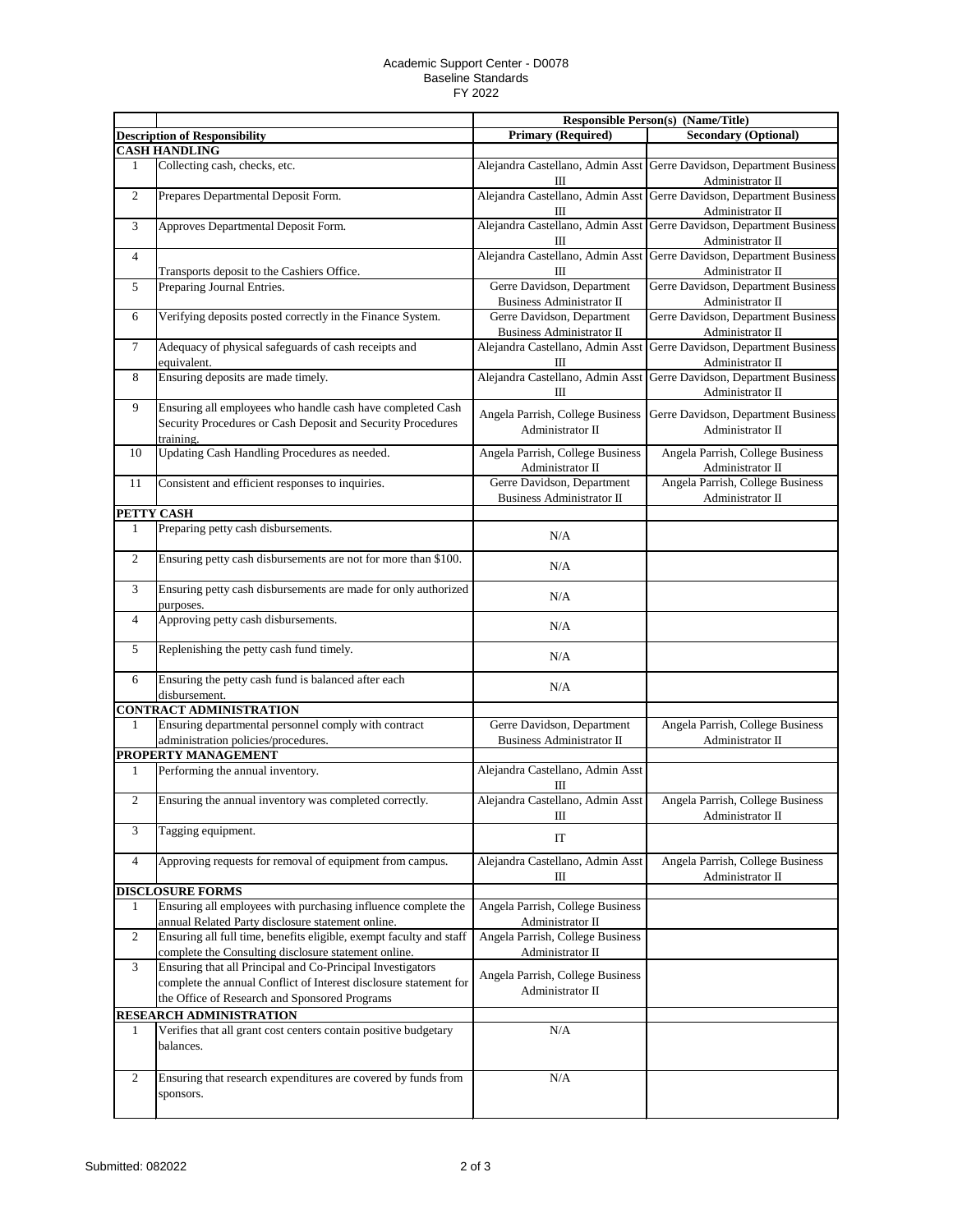## Academic Support Center - D0078 Baseline Standards FY 2022

|                |                                                                                                                                                                                  | <b>Responsible Person(s) (Name/Title)</b>                      |                                                                                          |
|----------------|----------------------------------------------------------------------------------------------------------------------------------------------------------------------------------|----------------------------------------------------------------|------------------------------------------------------------------------------------------|
|                | <b>Description of Responsibility</b>                                                                                                                                             | <b>Primary (Required)</b>                                      | <b>Secondary (Optional)</b>                                                              |
|                | <b>CASH HANDLING</b>                                                                                                                                                             |                                                                |                                                                                          |
| 1              | Collecting cash, checks, etc.                                                                                                                                                    | Ш                                                              | Alejandra Castellano, Admin Asst Gerre Davidson, Department Business<br>Administrator II |
| $\overline{2}$ | Prepares Departmental Deposit Form.                                                                                                                                              | Ш                                                              | Alejandra Castellano, Admin Asst Gerre Davidson, Department Business<br>Administrator II |
| 3              | Approves Departmental Deposit Form.                                                                                                                                              | Ш                                                              | Alejandra Castellano, Admin Asst Gerre Davidson, Department Business<br>Administrator II |
| $\overline{4}$ | Transports deposit to the Cashiers Office.                                                                                                                                       | Ш                                                              | Alejandra Castellano, Admin Asst Gerre Davidson, Department Business<br>Administrator II |
| 5              | Preparing Journal Entries.                                                                                                                                                       | Gerre Davidson, Department<br><b>Business Administrator II</b> | Gerre Davidson, Department Business<br>Administrator II                                  |
| 6              | Verifying deposits posted correctly in the Finance System.                                                                                                                       | Gerre Davidson, Department<br><b>Business Administrator II</b> | Gerre Davidson, Department Business<br>Administrator II                                  |
| 7              | Adequacy of physical safeguards of cash receipts and<br>equivalent.                                                                                                              | Alejandra Castellano, Admin Asst<br>Ш                          | Gerre Davidson, Department Business<br>Administrator II                                  |
| 8              | Ensuring deposits are made timely.                                                                                                                                               | Alejandra Castellano, Admin Asst<br>Ш                          | Gerre Davidson, Department Business<br>Administrator II                                  |
| 9              | Ensuring all employees who handle cash have completed Cash<br>Security Procedures or Cash Deposit and Security Procedures<br>training.                                           | Angela Parrish, College Business<br>Administrator II           | Gerre Davidson, Department Business<br>Administrator II                                  |
| 10             | Updating Cash Handling Procedures as needed.                                                                                                                                     | Angela Parrish, College Business<br>Administrator II           | Angela Parrish, College Business<br>Administrator II                                     |
| 11             | Consistent and efficient responses to inquiries.                                                                                                                                 | Gerre Davidson, Department<br><b>Business Administrator II</b> | Angela Parrish, College Business<br>Administrator II                                     |
|                | PETTY CASH                                                                                                                                                                       |                                                                |                                                                                          |
| $\mathbf{1}$   | Preparing petty cash disbursements.                                                                                                                                              | N/A                                                            |                                                                                          |
| $\overline{2}$ | Ensuring petty cash disbursements are not for more than \$100.                                                                                                                   | N/A                                                            |                                                                                          |
| 3              | Ensuring petty cash disbursements are made for only authorized<br>purposes.                                                                                                      | N/A                                                            |                                                                                          |
| $\overline{4}$ | Approving petty cash disbursements.                                                                                                                                              | N/A                                                            |                                                                                          |
| 5              | Replenishing the petty cash fund timely.                                                                                                                                         | N/A                                                            |                                                                                          |
| 6              | Ensuring the petty cash fund is balanced after each<br>disbursement.                                                                                                             | N/A                                                            |                                                                                          |
|                | <b>CONTRACT ADMINISTRATION</b>                                                                                                                                                   |                                                                |                                                                                          |
| 1              | Ensuring departmental personnel comply with contract<br>administration policies/procedures.                                                                                      | Gerre Davidson, Department<br><b>Business Administrator II</b> | Angela Parrish, College Business<br>Administrator II                                     |
|                | PROPERTY MANAGEMENT                                                                                                                                                              |                                                                |                                                                                          |
| 1              | Performing the annual inventory.                                                                                                                                                 | Alejandra Castellano, Admin Asst<br>Ш                          |                                                                                          |
| $\overline{2}$ | Ensuring the annual inventory was completed correctly.                                                                                                                           | Alejandra Castellano, Admin Asst<br>$\mathbf{I}$               | Angela Parrish, College Business<br>Administrator II                                     |
| 3              | Tagging equipment.                                                                                                                                                               | IT                                                             |                                                                                          |
| 4              | Approving requests for removal of equipment from campus.                                                                                                                         | Alejandra Castellano, Admin Asst<br>Ш                          | Angela Parrish, College Business<br>Administrator II                                     |
|                | <b>DISCLOSURE FORMS</b>                                                                                                                                                          |                                                                |                                                                                          |
| 1              | Ensuring all employees with purchasing influence complete the<br>annual Related Party disclosure statement online.                                                               | Angela Parrish, College Business<br>Administrator II           |                                                                                          |
| $\overline{2}$ | Ensuring all full time, benefits eligible, exempt faculty and staff<br>complete the Consulting disclosure statement online.                                                      | Angela Parrish, College Business<br>Administrator II           |                                                                                          |
| 3              | Ensuring that all Principal and Co-Principal Investigators<br>complete the annual Conflict of Interest disclosure statement for<br>the Office of Research and Sponsored Programs | Angela Parrish, College Business<br>Administrator II           |                                                                                          |
|                | <b>RESEARCH ADMINISTRATION</b>                                                                                                                                                   |                                                                |                                                                                          |
| $\mathbf{1}$   | Verifies that all grant cost centers contain positive budgetary<br>balances.                                                                                                     | N/A                                                            |                                                                                          |
| $\overline{2}$ | Ensuring that research expenditures are covered by funds from<br>sponsors.                                                                                                       | N/A                                                            |                                                                                          |